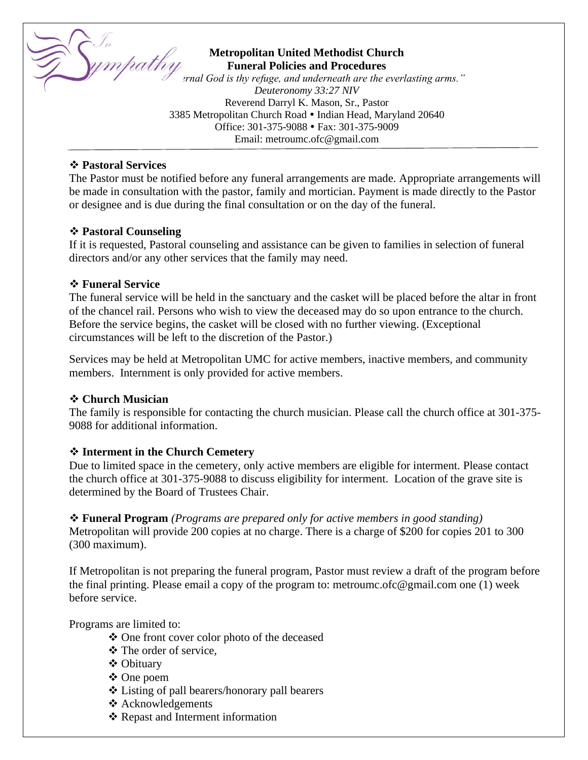

# **Metropolitan United Methodist Church Funeral Policies and Procedures Metropolitan United Methodist Church**<br>"The **Funeral Policies and Procedures**<br>"The everlasting arms."

*Deuteronomy 33:27 NIV* Reverend Darryl K. Mason, Sr., Pastor 3385 Metropolitan Church Road • Indian Head, Maryland 20640 Office: 301-375-9088 Fax: 301-375-9009 Email: metroumc.ofc@gmail.com

## ❖ **Pastoral Services**

The Pastor must be notified before any funeral arrangements are made. Appropriate arrangements will be made in consultation with the pastor, family and mortician. Payment is made directly to the Pastor or designee and is due during the final consultation or on the day of the funeral.

## ❖ **Pastoral Counseling**

If it is requested, Pastoral counseling and assistance can be given to families in selection of funeral directors and/or any other services that the family may need.

## ❖ **Funeral Service**

The funeral service will be held in the sanctuary and the casket will be placed before the altar in front of the chancel rail. Persons who wish to view the deceased may do so upon entrance to the church. Before the service begins, the casket will be closed with no further viewing. (Exceptional circumstances will be left to the discretion of the Pastor.)

Services may be held at Metropolitan UMC for active members, inactive members, and community members. Internment is only provided for active members.

# ❖ **Church Musician**

The family is responsible for contacting the church musician. Please call the church office at 301-375- 9088 for additional information.

# ❖ **Interment in the Church Cemetery**

Due to limited space in the cemetery, only active members are eligible for interment. Please contact the church office at 301-375-9088 to discuss eligibility for interment. Location of the grave site is determined by the Board of Trustees Chair.

❖ **Funeral Program** *(Programs are prepared only for active members in good standing)* Metropolitan will provide 200 copies at no charge. There is a charge of \$200 for copies 201 to 300 (300 maximum).

If Metropolitan is not preparing the funeral program, Pastor must review a draft of the program before the final printing. Please email a copy of the program to: metroumc.ofc@gmail.com one (1) week before service.

Programs are limited to:

- ❖ One front cover color photo of the deceased
- ❖ The order of service,
- ❖ Obituary
- ❖ One poem
- ❖ Listing of pall bearers/honorary pall bearers
- ❖ Acknowledgements
- ❖ Repast and Interment information